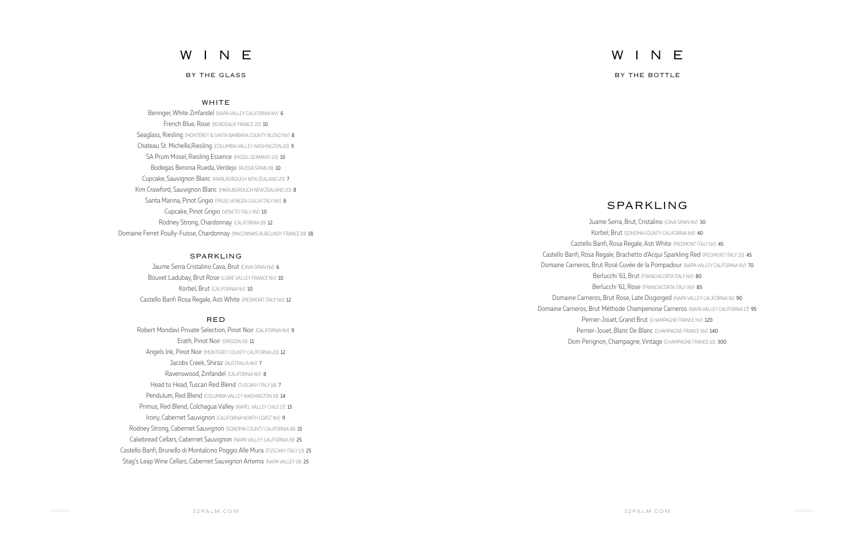# W I N E

## SPARKLING

Juame Serra, Brut, Cristalino (CAVA SPAIN NV) 30 Korbel, Brut (SONOMA COUNTY CALIFORNIA NV) 40 Castello Banfi, Rosa Regale, Asti White (PIEDMONT ITALY NV) 45 Castello Banfi, Rosa Regale, Brachetto d'Acqui Sparkling Red (PIEDMONT ITALY 20) 45 Domaine Carneros, Brut Rosé Cuvée de la Pompadour (NAPA VALLEY CALIFORNIA NV) 70 Berlucchi '61, Brut (FRANCIACORTA ITALY NV) 80 Berlucchi '61, Rose (FRANCIACORTA ITALY NV) 85 Domaine Carneros, Brut Rose, Late Disgorged (NAPA VALLEY CALIFORNIA 16) 90 Domaine Carneros, Brut Méthode Champenoise Carneros (NAPA VALLEY CALIFORNIA 17) 95 Perrier-Jouet, Grand Brut (CHAMPAGNE FRANCE NV) 120 Perrier-Jouet, Blanc De Blanc (CHAMPAGNE FRANCE NV) 140 Dom Perignon, Champagne, Vintage (CHAMPAGNE FRANCE 10) 300

Beringer, White Zinfandel (NAPA VALLEY CALIFORNIA NV) 6 French Blue, Rose (BORDEAUX FRANCE 20) 10 Seaglass, Riesling (MONTEREY & SANTA BARBARA COUNTY BLEND NV) 8 Chateau St. Michelle,Riesling (COLUMBIA VALLEY WASHINGTON 20) 9 SA Prum Mosel, Riesling Essence (MOSEL GERMANY 20) 10 Bodegas Beronia Rueda, Verdejo (RUEDA SPAIN 19) 10 Cupcake, Sauvignon Blanc (MARLBOROUGH NEW ZEALAND 20) 7 Kim Crawford, Sauvignon Blanc (MARLBOROUGH NEW ZEALAND 20) 8 Santa Marina, Pinot Grigio (FRUILI VENEZIA GUILIA ITALY NV) 8 Cupcake, Pinot Grigio (VENETO ITALY NV) 10 Rodney Strong, Chardonnay (CALIFORNIA 19) 12 Domaine Ferret Poully-Fuisse, Chardonnay (MACONNAIS BURGUNDY FRANCE 19) 18

## WHITE

## SPARKLING

Jaume Serra Cristalino Cava, Brut (CAVA SPAIN NV) 6 Bouvet Ladubay, Brut Rose (LOIRE VALLEY FRANCE NV) 10 Korbel, Brut (CALIFORNIA NV) 10 Castello Banfi Rosa Regale, Asti White (PIEDMONT ITALY NV) 12

## RED

Robert Mondavi Private Selection, Pinot Noir (CALIFORNIA NV) 9 Erath, Pinot Noir (OREGON 19) 11 Angels Ink, Pinot Noir (MONTEREY COUNTY CALIFORNIA 20) 12 Jacobs Creek, Shiraz (AUSTRALIA NV) 7 Ravenswood, Zinfandel (CALIFORNIA NV) 8 Head to Head, Tuscan Red Blend (TUSCANY ITALY 18) 7 Pendulum, Red Blend (COLUMBIA VALLEY WASHINGTON 19) 14 Primus, Red Blend, Colchagua Valley (RAPEL VALLEY CHILE 17) 15 Irony, Cabernet Sauvignon (CALIFORNIA NORTH COAST NV) 9 Rodney Strong, Cabernet Sauvignon (SONOMA COUNTY CALIFORNIA 18) 15 Cakebread Cellars, Cabernet Sauvignon (NAPA VALLEY CALIFORNIA 19) 25 Castello Banfi, Brunello di Montalcino Poggio Alle Mura (TUSCANY ITALY 13) 25 Stag's Leap Wine Cellars, Cabernet Sauvignon Artemis (NAPA VALLEY 19) 25

## W I N E

## BY THE GLASS

BY THE BOTTLE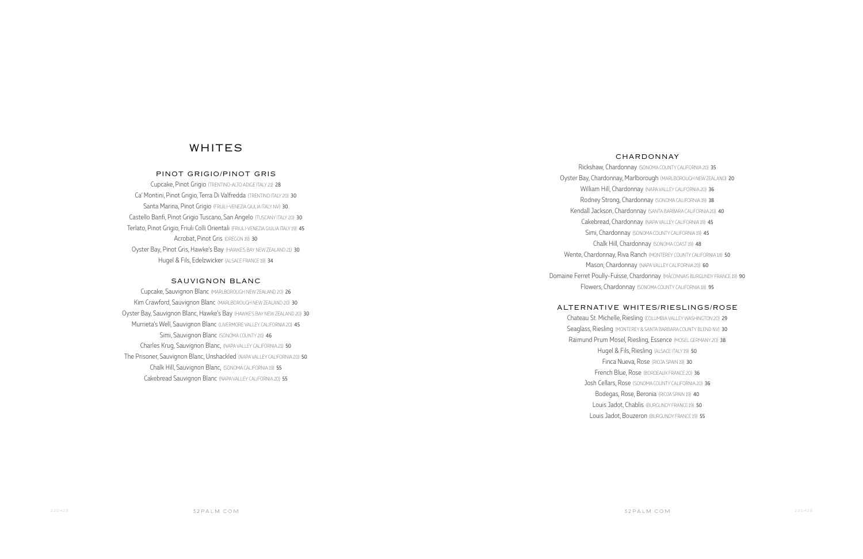## WHITES

## PINOT GRIGIO/PINOT GRIS

Cupcake, Pinot Grigio (TRENTINO-ALTO ADIGE ITALY 21) 28 Ca' Montini, Pinot Grigio, Terra Di Valfredda (TRENTINO ITALY 20) 30 Santa Marina, Pinot Grigio (FRUILI-VENEZIA GIULIA ITALY NV) 30 Castello Banfi, Pinot Grigio Tuscano, San Angelo (TUSCANY ITALY 20) 30 Terlato, Pinot Grigio, Friuli Colli Orientali (FRIULI-VENEZIA GIULIA ITALY 19) 45 Acrobat, Pinot Gris (OREGON 19) 30 Oyster Bay, Pinot Gris, Hawke's Bay (HAWKE'S BAY NEW ZEALAND 21) 30 Hugel & Fils, Edelzwicker (ALSACE FRANCE 19) 34

### SAUVIGNON BLANC

Cupcake, Sauvignon Blanc (MARLBOROUGH NEW ZEALAND 20) 26 Kim Crawford, Sauvignon Blanc (MARLBOROUGH NEW ZEALAND 20) 30 Oyster Bay, Sauvignon Blanc, Hawke's Bay (HAWKE'S BAY NEW ZEALAND 20) 30 Murrieta's Well, Sauvignon Blanc (LIVERMORE VALLEY CALIFORNIA 20) 45 Simi, Sauvignon Blanc (SONOMA COUNTY 20) 46 Charles Krug, Sauvignon Blanc, (NAPA VALLEY CALIFORNIA 21) 50 The Prisoner, Sauvignon Blanc, Unshackled (NAPA VALLEY CALIFORNIA 20) 50 Chalk Hill, Sauvignon Blanc, (SONOMA CALIFORNIA 19) 55 Cakebread Sauvignon Blanc (NAPA VALLEY CALIFORNIA 20) 55

## CHARDONNAY

Rickshaw, Chardonnay (SONOMA COUNTY CALIFORNIA 20) 35 Oyster Bay, Chardonnay, Marlborough (MARLBOROUGH NEW ZEALAND) 20 William Hill, Chardonnay (NAPA VALLEY CALIFORNIA 20) 36 Rodney Strong, Chardonnay (SONOMA CALIFORNIA 19) 38 Kendall Jackson, Chardonnay (SANTA BARBARA CALIFORNIA 20) 40 Cakebread, Chardonnay (NAPA VALLEY CALIFORNIA 19) 45 Simi, Chardonnay (SONOMA COUNTY CALIFORNIA 19) 45 Chalk Hill, Chardonnay (SONOMA COAST 19) 48 Wente, Chardonnay, Riva Ranch (MONTEREY COUNTY CALIFORNIA 18) 50 Mason, Chardonnay (NAPA VALLEY CALIFORNIA 20) 60 Domaine Ferret Poully-Fuisse, Chardonnay (MÂCONNAIS BURGUNDY FRANCE 19) 90 Flowers, Chardonnay (SONOMA COUNTY CALIFORNIA 18) 95

## ALTERNATIVE WHITES/RIESLINGS/ROSE

Chateau St. Michelle, Riesling (COLUMBIA VALLEY WASHINGTON 20) 29 Seaglass, Riesling (MONTEREY & SANTA BARBARA COUNTY BLEND NV) 30 Raimund Prum Mosel, Riesling, Essence (MOSEL GERMANY 20) 38 Hugel & Fils, Riesling (ALSACE ITALY 19) 50 Finca Nueva, Rose (RIOJA SPAIN 19) 30 French Blue, Rose (BORDEAUX FRANCE 20) 36 Josh Cellars, Rose (SONOMA COUNTY CALIFORNIA 20) 36 Bodegas, Rose, Beronia (RIOJA SPAIN 19) 40 Louis Jadot, Chablis (BURGUNDY FRANCE 19) 50 Louis Jadot, Bouzeron (BURGUNDY FRANCE 19) 55